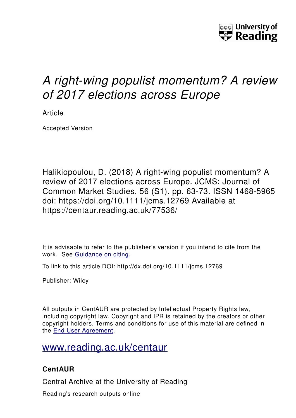

# *A right-wing populist momentum? A review of 2017 elections across Europe*

Article

Accepted Version

Halikiopoulou, D. (2018) A right-wing populist momentum? A review of 2017 elections across Europe. JCMS: Journal of Common Market Studies, 56 (S1). pp. 63-73. ISSN 1468-5965 doi: https://doi.org/10.1111/jcms.12769 Available at https://centaur.reading.ac.uk/77536/

It is advisable to refer to the publisher's version if you intend to cite from the work. See [Guidance on citing.](http://centaur.reading.ac.uk/71187/10/CentAUR%20citing%20guide.pdf)

To link to this article DOI: http://dx.doi.org/10.1111/jcms.12769

Publisher: Wiley

All outputs in CentAUR are protected by Intellectual Property Rights law, including copyright law. Copyright and IPR is retained by the creators or other copyright holders. Terms and conditions for use of this material are defined in the [End User Agreement.](http://centaur.reading.ac.uk/licence)

## [www.reading.ac.uk/centaur](http://www.reading.ac.uk/centaur)

### **CentAUR**

Central Archive at the University of Reading

Reading's research outputs online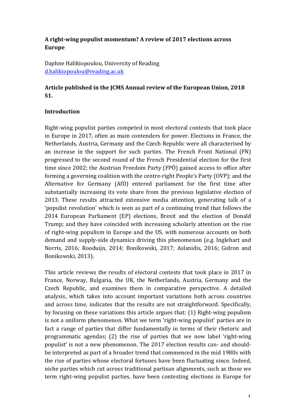#### **A right-wing populist momentum? A review of 2017 elections across Europe**

Daphne Halikiopoulou, University of Reading d.halikiopoulou@reading.ac.uk

#### Article published in the JCMS Annual review of the European Union, 2018 **S1.**

#### **Introduction**

Right-wing populist parties competed in most electoral contests that took place in Europe in 2017, often as main contenders for power. Elections in France, the Netherlands, Austria, Germany and the Czech Republic were all characterised by an increase in the support for such parties. The French Front National (FN) progressed to the second round of the French Presidential election for the first time since 2002; the Austrian Freedom Party (FPÖ) gained access to office after forming a governing coalition with the centre-right People's Party (OVP); and the Alternative for Germany (AfD) entered parliament for the first time after substantially increasing its vote share from the previous legislative election of 2013. These results attracted extensive media attention, generating talk of a 'populist revolution' which is seen as part of a continuing trend that follows the 2014 European Parliament (EP) elections, Brexit and the election of Donald Trump; and they have coincided with increasing scholarly attention on the rise of right-wing populism in Europe and the US, with numerous accounts on both demand and supply-side dynamics driving this phenomenon (e.g. Inglehart and Norris, 2016; Rooduijn, 2014; Bonikowski, 2017; Aslanidis, 2016; Gidron and Bonikowski, 2013). 

This article reviews the results of electoral contests that took place in 2017 in France, Norway, Bulgaria, the UK, the Netherlands, Austria, Germany and the Czech Republic, and examines them in comparative perspective. A detailed analysis, which takes into account important variations both across countries and across time, indicates that the results are not straightforward. Specifically, by focusing on these variations this article argues that:  $(1)$  Right-wing populism is not a uniform phenomenon. What we term 'right-wing populist' parties are in fact a range of parties that differ fundamentally in terms of their rhetoric and programmatic agendas;  $(2)$  the rise of parties that we now label 'right-wing populist' is not a new phenomenon. The 2017 election results can- and shouldbe interpreted as part of a broader trend that commenced in the mid 1980s with the rise of parties whose electoral fortunes have been fluctuating since. Indeed, niche parties which cut across traditional partisan alignments, such as those we term right-wing populist parties, have been contesting elections in Europe for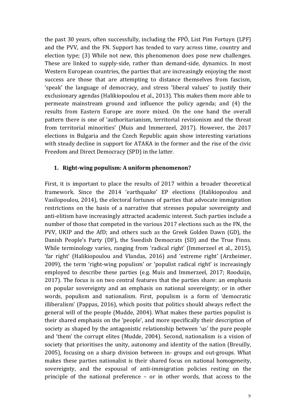the past  $30$  years, often successfully, including the FPÖ, List Pim Fortuyn (LPF) and the PVV, and the FN. Support has tended to vary across time, country and election type; (3) While not new, this phenomenon does pose new challenges. These are linked to supply-side, rather than demand-side, dynamics. In most Western European countries, the parties that are increasingly enjoying the most success are those that are attempting to distance themselves from fascism, 'speak' the language of democracy, and stress 'liberal values' to justify their exclusionary agendas (Halikiopoulou et al., 2013). This makes them more able to permeate mainstream ground and influence the policy agenda; and (4) the results from Eastern Europe are more mixed. On the one hand the overall pattern there is one of 'authoritarianism, territorial revisionism and the threat from territorial minorities' (Muis and Immerzeel, 2017). However, the 2017 elections in Bulgaria and the Czech Republic again show interesting variations with steady decline in support for ATAKA in the former and the rise of the civic Freedom and Direct Democracy (SPD) in the latter.

#### 1. **Right-wing populism:** A uniform phenomenon?

First, it is important to place the results of 2017 within a broader theoretical framework. Since the 2014 'earthquake' EP elections (Halikiopoulou and Vasilopoulou, 2014), the electoral fortunes of parties that advocate immigration restrictions on the basis of a narrative that stresses popular sovereignty and anti-elitism have increasingly attracted academic interest. Such parties include a number of those that competed in the various 2017 elections such as the FN, the PVV, UKIP and the AfD; and others such as the Greek Golden Dawn (GD), the Danish People's Party (DF), the Swedish Democrats (SD) and the True Finns. While terminology varies, ranging from 'radical right' (Immerzeel et al., 2015), 'far right' (Halikiopoulou and Vlandas, 2016) and 'extreme right' (Arzheimer, 2009), the term 'right-wing populism' or 'populist radical right' is increasingly employed to describe these parties (e.g. Muis and Immerzeel, 2017; Rooduijn, 2017). The focus is on two central features that the parties share: an emphasis on popular sovereignty and an emphasis on national sovereignty; or in other words, populism and nationalism. First, populism is a form of 'democratic illiberalism' (Pappas, 2016), which posits that politics should always reflect the general will of the people (Mudde, 2004). What makes these parties populist is their shared emphasis on the 'people', and more specifically their description of society as shaped by the antagonistic relationship between 'us' the pure people and 'them' the corrupt elites (Mudde, 2004). Second, nationalism is a vision of society that prioritises the unity, autonomy and identity of the nation (Breuilly, 2005), focusing on a sharp division between in- groups and out-groups. What makes these parties nationalist is their shared focus on national homogeneity, sovereignty, and the espousal of anti-immigration policies resting on the principle of the national preference  $-$  or in other words, that access to the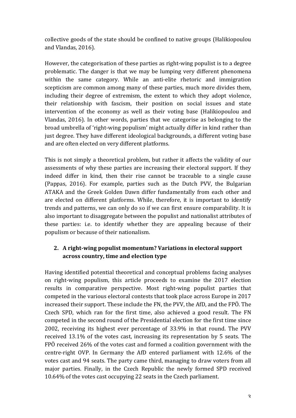collective goods of the state should be confined to native groups (Halikiopoulou and Vlandas, 2016).

However, the categorisation of these parties as right-wing populist is to a degree problematic. The danger is that we may be lumping very different phenomena within the same category. While an anti-elite rhetoric and immigration scepticism are common among many of these parties, much more divides them, including their degree of extremism, the extent to which they adopt violence, their relationship with fascism, their position on social issues and state intervention of the economy as well as their voting base (Halikiopoulou and Vlandas, 2016). In other words, parties that we categorise as belonging to the broad umbrella of 'right-wing populism' might actually differ in kind rather than just degree. They have different ideological backgrounds, a different voting base and are often elected on very different platforms.

This is not simply a theoretical problem, but rather it affects the validity of our assessments of why these parties are increasing their electoral support. If they indeed differ in kind, then their rise cannot be traceable to a single cause (Pappas, 2016). For example, parties such as the Dutch PVV, the Bulgarian ATAKA and the Greek Golden Dawn differ fundamentally from each other and are elected on different platforms. While, therefore, it is important to identify trends and patterns, we can only do so if we can first ensure comparability. It is also important to disaggregate between the populist and nationalist attributes of these parties: i.e. to identify whether they are appealing because of their populism or because of their nationalism.

#### 2. A right-wing populist momentum? Variations in electoral support **across country, time and election type**

Having identified potential theoretical and conceptual problems facing analyses on right-wing populism, this article proceeds to examine the 2017 election results in comparative perspective. Most right-wing populist parties that competed in the various electoral contests that took place across Europe in 2017 increased their support. These include the FN, the PVV, the AfD, and the FPÖ. The Czech SPD, which ran for the first time, also achieved a good result. The FN competed in the second round of the Presidential election for the first time since 2002, receiving its highest ever percentage of 33.9% in that round. The PVV received 13.1% of the votes cast, increasing its representation by 5 seats. The FPÖ received  $26\%$  of the votes cast and formed a coalition government with the centre-right OVP. In Germany the AfD entered parliament with 12.6% of the votes cast and 94 seats. The party came third, managing to draw voters from all major parties. Finally, in the Czech Republic the newly formed SPD received 10.64% of the votes cast occupying 22 seats in the Czech parliament.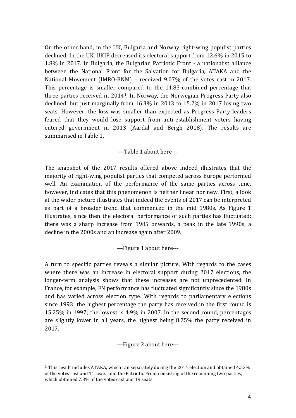On the other hand, in the UK, Bulgaria and Norway right-wing populist parties declined. In the UK, UKIP decreased its electoral support from 12.6% in 2015 to 1.8% in 2017. In Bulgaria, the Bulgarian Patriotic Front - a nationalist alliance between the National Front for the Salvation for Bulgaria, ATAKA and the National Movement (IMRO-BNM) – received  $9.07\%$  of the votes cast in 2017. This percentage is smaller compared to the 11.83-combined percentage that three parties received in  $2014<sup>1</sup>$ . In Norway, the Norwegian Progress Party also declined, but just marginally from  $16.3\%$  in  $2013$  to  $15.2\%$  in 2017 losing two seats. However, the loss was smaller than expected as Progress Party leaders feared that they would lose support from anti-establishment voters having entered government in 2013 (Aardal and Bergh 2018). The results are summarised in Table 1.

---Table 1 about here---

The snapshot of the 2017 results offered above indeed illustrates that the majority of right-wing populist parties that competed across Europe performed well. An examination of the performance of the same parties across time, however, indicates that this phenomenon is neither linear nor new. First, a look at the wider picture illustrates that indeed the events of 2017 can be interpreted as part of a broader trend that commenced in the mid 1980s. As Figure 1 illustrates, since then the electoral performance of such parties has fluctuated: there was a sharp increase from 1985 onwards, a peak in the late 1990s, a decline in the 2000s and an increase again after 2009.

---Figure 1 about here---

A turn to specific parties reveals a similar picture. With regards to the cases where there was an increase in electoral support during 2017 elections, the longer-term analysis shows that these increases are not unprecedented. In France, for example, FN performance has fluctuated significantly since the 1980s and has varied across election type. With regards to parliamentary elections since  $1993$ : the highest percentage the party has received in the first round is 15.25% in 1997; the lowest is  $4.9\%$  in 2007. In the second round, percentages are slightly lower in all years, the highest being  $8.75\%$  the party received in 2017. 

---Figure 2 about here---

 

<sup>&</sup>lt;sup>1</sup> This result includes ATAKA, which ran separately during the 2014 election and obtained 4.53% of the votes cast and 11 seats; and the Patriotic Front consisting of the remaining two parties, which obtained 7.3% of the votes cast and 19 seats.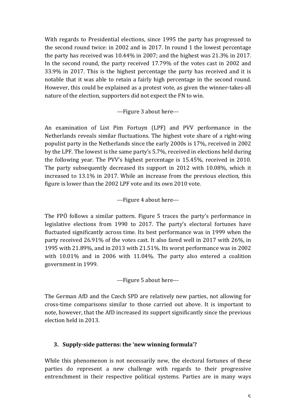With regards to Presidential elections, since 1995 the party has progressed to the second round twice: in 2002 and in 2017. In round 1 the lowest percentage the party has received was  $10.44\%$  in 2007; and the highest was  $21.3\%$  in 2017. In the second round, the party received  $17.79\%$  of the votes cast in 2002 and  $33.9\%$  in 2017. This is the highest percentage the party has received and it is notable that it was able to retain a fairly high percentage in the second round. However, this could be explained as a protest vote, as given the winner-takes-all nature of the election, supporters did not expect the FN to win.

---Figure 3 about here---

An examination of List Pim Fortuyn (LPF) and PVV performance in the Netherlands reveals similar fluctuations. The highest vote share of a right-wing populist party in the Netherlands since the early 2000s is 17%, received in 2002 by the LPF. The lowest is the same party's 5.7%, received in elections held during the following year. The PVV's highest percentage is  $15.45\%$ , received in 2010. The party subsequently decreased its support in 2012 with 10.08%, which it increased to  $13.1\%$  in 2017. While an increase from the previous election, this figure is lower than the 2002 LPF vote and its own 2010 vote.

---Figure 4 about here---

The FPÖ follows a similar pattern. Figure 5 traces the party's performance in legislative elections from 1990 to 2017. The party's electoral fortunes have fluctuated significantly across time. Its best performance was in 1999 when the party received 26.91% of the votes cast. It also fared well in 2017 with 26%, in 1995 with 21.89%, and in 2013 with 21.51%. Its worst performance was in 2002 with  $10.01\%$  and in 2006 with  $11.04\%$ . The party also entered a coalition government in 1999.

---Figure 5 about here---

The German AfD and the Czech SPD are relatively new parties, not allowing for cross-time comparisons similar to those carried out above. It is important to note, however, that the AfD increased its support significantly since the previous election held in 2013.

#### **3.** Supply-side patterns: the 'new winning formula'?

While this phenomenon is not necessarily new, the electoral fortunes of these parties do represent a new challenge with regards to their progressive entrenchment in their respective political systems. Parties are in many ways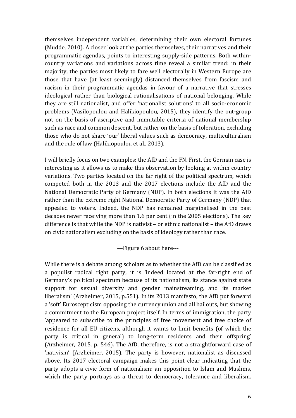themselves independent variables, determining their own electoral fortunes (Mudde, 2010). A closer look at the parties themselves, their narratives and their programmatic agendas, points to interesting supply-side patterns. Both withincountry variations and variations across time reveal a similar trend: in their majority, the parties most likely to fare well electorally in Western Europe are those that have (at least seemingly) distanced themselves from fascism and racism in their programmatic agendas in favour of a narrative that stresses ideological rather than biological rationalisations of national belonging. While they are still nationalist, and offer 'nationalist solutions' to all socio-economic problems (Vasilopoulou and Halikiopoulou, 2015), they identify the out-group not on the basis of ascriptive and immutable criteria of national membership such as race and common descent, but rather on the basis of toleration, excluding those who do not share 'our' liberal values such as democracy, multiculturalism and the rule of law (Halikiopoulou et al., 2013).

I will briefly focus on two examples: the AfD and the FN. First, the German case is interesting as it allows us to make this observation by looking at within country variations. Two parties located on the far right of the political spectrum, which competed both in the 2013 and the 2017 elections include the AfD and the National Democratic Party of Germany (NDP). In both elections it was the AfD rather than the extreme right National Democratic Party of Germany (NDP) that appealed to voters. Indeed, the NDP has remained marginalised in the past decades never receiving more than 1.6 per cent (in the 2005 elections). The key difference is that while the NDP is nativist – or ethnic nationalist – the AfD draws on civic nationalism excluding on the basis of ideology rather than race.

---Figure 6 about here---

While there is a debate among scholars as to whether the AfD can be classified as a populist radical right party, it is 'indeed located at the far-right end of Germany's political spectrum because of its nationalism, its stance against state support for sexual diversity and gender mainstreaming, and its market liberalism' (Arzheimer, 2015, p.551). In its 2013 manifesto, the AfD put forward a 'soft' Euroscepticism opposing the currency union and all bailouts, but showing a commitment to the European project itself. In terms of immigration, the party 'appeared to subscribe to the principles of free movement and free choice of residence for all EU citizens, although it wants to limit benefits (of which the party is critical in general) to long-term residents and their offspring' (Arzheimer, 2015, p. 546). The AfD, therefore, is not a straightforward case of 'nativism' (Arzheimer, 2015). The party is however, nationalist as discussed above. Its 2017 electoral campaign makes this point clear indicating that the party adopts a civic form of nationalism: an opposition to Islam and Muslims, which the party portrays as a threat to democracy, tolerance and liberalism.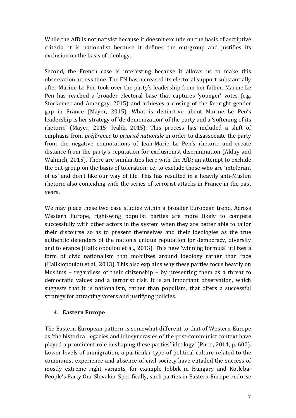While the AfD is not nativist because it doesn't exclude on the basis of ascriptive criteria, it is nationalist because it defines the out-group and justifies its exclusion on the basis of ideology.

Second, the French case is interesting because it allows us to make this observation across time. The FN has increased its electoral support substantially after Marine Le Pen took over the party's leadership from her father. Marine Le Pen has reached a broader electoral base that captures 'younger' votes (e.g. Stockemer and Amengay, 2015) and achieves a closing of the far-right gender gap in France (Mayer, 2015). What is distinctive about Marine Le Pen's leadership is her strategy of 'de-demonization' of the party and a 'softening of its rhetoric' (Mayer, 2015; Ivaldi, 2015). This process has included a shift of emphasis from *préférence* to *priorité nationale* in order to disassociate the party from the negative connotations of Jean-Marie Le Pen's rhetoric and create distance from the party's reputation for exclusionist discrimination (Alduy and Wahnich, 2015). There are similarities here with the AfD: an attempt to exclude the out-group on the basis of toleration: i.e. to exclude those who are 'intolerant of us' and don't like our way of life. This has resulted in a heavily anti-Muslim rhetoric also coinciding with the series of terrorist attacks in France in the past years. 

We may place these two case studies within a broader European trend. Across Western Europe, right-wing populist parties are more likely to compete successfully with other actors in the system when they are better able to tailor their discourse so as to present themselves and their ideologies as the true authentic defenders of the nation's unique reputation for democracy, diversity and tolerance (Halikiopoulou et al., 2013). This new 'winning formula' utilizes a form of civic nationalism that mobilizes around ideology rather than race (Halikiopoulou et al., 2013). This also explains why these parties focus heavily on Muslims – regardless of their citizenship – by presenting them as a threat to democratic values and a terrorist risk. It is an important observation, which suggests that it is nationalism, rather than populism, that offers a successful strategy for attracting voters and justifying policies.

#### **4. Eastern Europe**

The Eastern European pattern is somewhat different to that of Western Europe as 'the historical legacies and idiosyncrasies of the post-communist context have played a prominent role in shaping these parties' ideology' (Pirro, 2014, p. 600). Lower levels of immigration, a particular type of political culture related to the communist experience and absence of civil society have entailed the success of mostly extreme right variants, for example Jobbik in Hungary and Kotleba-People's Party Our Slovakia. Specifically, such parties in Eastern Europe endorse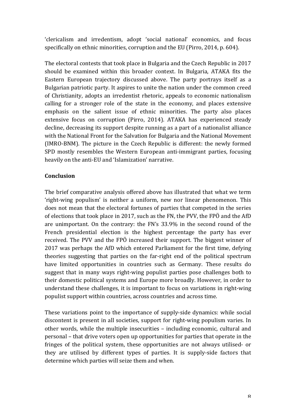'clericalism and irredentism, adopt 'social national' economics, and focus specifically on ethnic minorities, corruption and the EU (Pirro, 2014, p. 604).

The electoral contests that took place in Bulgaria and the Czech Republic in 2017 should be examined within this broader context. In Bulgaria, ATAKA fits the Eastern European trajectory discussed above. The party portrays itself as a Bulgarian patriotic party. It aspires to unite the nation under the common creed of Christianity, adopts an irredentist rhetoric, appeals to economic nationalism calling for a stronger role of the state in the economy, and places extensive emphasis on the salient issue of ethnic minorities. The party also places extensive focus on corruption (Pirro, 2014). ATAKA has experienced steady decline, decreasing its support despite running as a part of a nationalist alliance with the National Front for the Salvation for Bulgaria and the National Movement (IMRO-BNM). The picture in the Czech Republic is different: the newly formed SPD mostly resembles the Western European anti-immigrant parties, focusing heavily on the anti-EU and 'Islamization' narrative.

#### **Conclusion**

The brief comparative analysis offered above has illustrated that what we term 'right-wing populism' is neither a uniform, new nor linear phenomenon. This does not mean that the electoral fortunes of parties that competed in the series of elections that took place in 2017, such as the FN, the PVV, the FPÖ and the AfD are unimportant. On the contrary: the FN's 33.9% in the second round of the French presidential election is the highest percentage the party has ever received. The PVV and the FPÖ increased their support. The biggest winner of 2017 was perhaps the AfD which entered Parliament for the first time, defying theories suggesting that parties on the far-right end of the political spectrum have limited opportunities in countries such as Germany. These results do suggest that in many ways right-wing populist parties pose challenges both to their domestic political systems and Europe more broadly. However, in order to understand these challenges, it is important to focus on variations in right-wing populist support within countries, across countries and across time.

These variations point to the importance of supply-side dynamics: while social discontent is present in all societies, support for right-wing populism varies. In other words, while the multiple insecurities – including economic, cultural and personal – that drive voters open up opportunities for parties that operate in the fringes of the political system, these opportunities are not always utilised- or they are utilised by different types of parties. It is supply-side factors that determine which parties will seize them and when.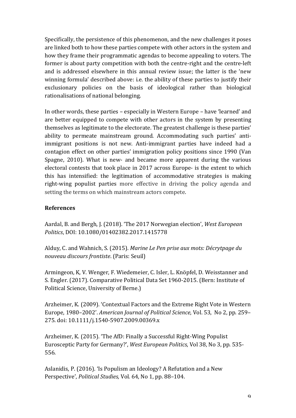Specifically, the persistence of this phenomenon, and the new challenges it poses are linked both to how these parties compete with other actors in the system and how they frame their programmatic agendas to become appealing to voters. The former is about party competition with both the centre-right and the centre-left and is addressed elsewhere in this annual review issue; the latter is the 'new winning formula' described above: i.e. the ability of these parties to justify their exclusionary policies on the basis of ideological rather than biological rationalisations of national belonging.

In other words, these parties – especially in Western Europe – have 'learned' and are better equipped to compete with other actors in the system by presenting themselves as legitimate to the electorate. The greatest challenge is these parties' ability to permeate mainstream ground. Accommodating such parties' antiimmigrant positions is not new. Anti-immigrant parties have indeed had a contagion effect on other parties' immigration policy positions since 1990 (Van Spagne, 2010). What is new- and became more apparent during the various electoral contests that took place in 2017 across Europe- is the extent to which this has intensified: the legitimation of accommodative strategies is making right-wing populist parties more effective in driving the policy agenda and setting the terms on which mainstream actors compete.

#### **References**

Aardal, B. and Bergh, J. (2018). 'The 2017 Norwegian election', West European *Politics*, DOI: 10.1080/01402382.2017.1415778

Alduy, C. and Wahnich, S. (2015). *Marine Le Pen prise aux mots: Décrytpage du nouveau discours frontiste*. (Paris: Seuil)

Armingeon, K, V. Wenger, F. Wiedemeier, C. Isler, L. Knöpfel, D. Weisstanner and S. Engler. (2017). Comparative Political Data Set 1960-2015. (Bern: Institute of Political Science, University of Berne.)

Arzheimer, K. (2009). 'Contextual Factors and the Extreme Right Vote in Western Europe, 1980–2002'. *American Journal of Political Science*, Vol. 53, No 2, pp. 259– 275. doi: 10.1111/j.1540-5907.2009.00369.x

Arzheimer, K. (2015). 'The AfD: Finally a Successful Right-Wing Populist Eurosceptic Party for Germany?', *West European Politics*, Vol 38, No 3, pp. 535-556.

Aslanidis, P. (2016). 'Is Populism an Ideology? A Refutation and a New Perspective', *Political Studies*, Vol. 64, No 1, pp. 88-104.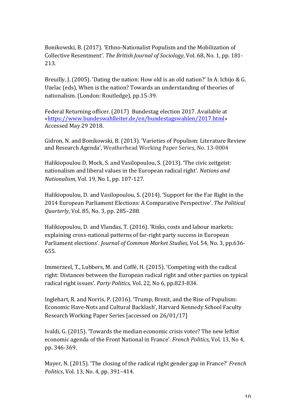Bonikowski, B. (2017). 'Ethno-Nationalist Populism and the Mobilization of Collective Resentment'. *The British Journal of Sociology*, Vol. 68, No. 1, pp. 181-213.

Breuilly, J. (2005). 'Dating the nation: How old is an old nation?' In A. Ichijo & G. Uzelac (eds), When is the nation? Towards an understanding of theories of nationalism. (London: Routledge), pp.15-39.

Federal Returning officer. (2017) Bundestag election 2017. Available at «https://www.bundeswahlleiter.de/en/bundestagswahlen/2017.html» Accessed May 29 2018.

Gidron, N. and Bonikowski, B. (2013). 'Varieties of Populism: Literature Review and Research Agenda', Weatherhead Working Paper Series, No. 13-0004

Halikiopoulou D, Mock, S. and Vasilopoulou, S. (2013). 'The civic zeitgeist: nationalism and liberal values in the European radical right'. *Nations and Nationalism, Vol. 19, No 1, pp. 107-127.* 

Halikiopoulou, D. and Vasilopoulou, S. (2014). 'Support for the Far Right in the 2014 European Parliament Elections: A Comparative Perspective'. The Political *Quarterly*, *Vol.* 85, *No.* 3, pp. 285-288.

Halikiopoulou, D. and Vlandas, T. (2016). 'Risks, costs and labour markets: explaining cross-national patterns of far-right party success in European Parliament elections'. *Journal of Common Market Studies*, Vol. 54, No. 3, pp.636-655.

Immerzeel, T., Lubbers, M. and Coffé, H. (2015). 'Competing with the radical right: Distances between the European radical right and other parties on typical radical right issues'. *Party Politics*, Vol. 22, No 6, pp.823-834.

Inglehart, R. and Norris, P. (2016). 'Trump, Brexit, and the Rise of Populism: Economic Have-Nots and Cultural Backlash', Harvard Kennedy School Faculty Research Working Paper Series [accessed on 26/01/17]

Ivaldi, G. (2015). 'Towards the median economic crisis voter? The new leftist economic agenda of the Front National in France'. *French Politics*, Vol. 13, No 4, pp. 346-369.

Mayer, N. (2015). 'The closing of the radical right gender gap in France?' *French Politics*, *Vol.* 13, *No.* 4, pp. 391-414.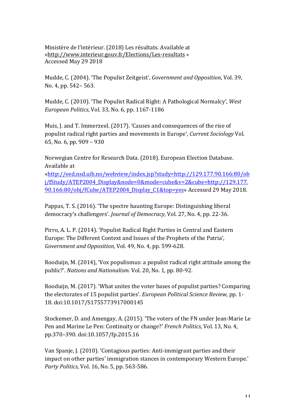Ministère de l'intérieur. (2018) Les résultats. Available at «http://www.interieur.gouv.fr/Elections/Les-resultats » Accessed May 29 2018

Mudde, C. (2004). 'The Populist Zeitgeist', *Government and Opposition*, Vol. 39, No. 4, pp. 542– 563.

Mudde, C. (2010). 'The Populist Radical Right: A Pathological Normalcy', *West European Politics*, Vol. 33, No. 6, pp. 1167-1186

Muis, J. and T. Immerzeel. (2017). 'Causes and consequences of the rise of populist radical right parties and movements in Europe', *Current Sociology* Vol. 65, No. 6, pp.  $909 - 930$ 

Norwegian Centre for Research Data. (2018). European Election Database. Available at

«http://eed.nsd.uib.no/webview/index.jsp?study=http://129.177.90.166:80/ob j/fStudy/ATEP2004\_Display&node=0&mode=cube&v=2&cube=http://129.177. 90.166:80/obj/fCube/ATEP2004\_Display\_C1&top=yes» Accessed 29 May 2018.

Pappas, T. S. (2016). 'The spectre haunting Europe: Distinguishing liberal democracy's challengers'. *Journal of Democracy*, Vol. 27, No. 4, pp. 22-36.

Pirro, A. L. P. (2014). 'Populist Radical Right Parties in Central and Eastern Europe: The Different Context and Issues of the Prophets of the Patria'. *Government and Opposition, Vol. 49, No. 4, pp. 599-628.* 

Rooduijn, M. (2014), 'Vox populismus: a populist radical right attitude among the public?'. *Nations and Nationalism.* Vol. 20, No. 1, pp. 80-92.

Rooduijn, M. (2017). 'What unites the voter bases of populist parties? Comparing the electorates of 15 populist parties'. *European Political Science Review*, pp. 1-18. doi:10.1017/S1755773917000145

Stockemer, D. and Amengay, A. (2015). 'The voters of the FN under Jean-Marie Le Pen and Marine Le Pen: Continuity or change?' *French Politics*, Vol. 13, No. 4, pp.370–390. doi:10.1057/fp.2015.16

Van Spanie, I. (2010). 'Contagious parties: Anti-immigrant parties and their impact on other parties' immigration stances in contemporary Western Europe.' *Party Politics, Vol.* 16, No. 5, pp. 563-586.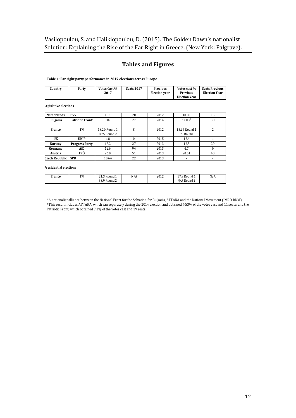#### **Tables and Figures**

Table 1: Far right party performance in 2017 elections across Europe

| Country | Party | <b>Votes Cast %</b><br>2017 | <b>Seats 2017</b> | <b>Previous</b><br><b>Election</b> vear | Votes cast %<br><b>Previous</b><br><b>Election Year</b> | <b>Seats Previous</b><br><b>Election Year</b> |
|---------|-------|-----------------------------|-------------------|-----------------------------------------|---------------------------------------------------------|-----------------------------------------------|
|         |       |                             |                   |                                         |                                                         |                                               |

Legislative elections

| <b>Netherlands</b>        | <b>PVV</b>                   | 13.1                          | 20 | 2012 | 10.08                        | 15 |
|---------------------------|------------------------------|-------------------------------|----|------|------------------------------|----|
| <b>Bulgaria</b>           | Patriotic Front <sup>1</sup> | 9.07                          | 27 | 2014 | 11.832                       | 30 |
| France                    | FN                           | 13.20 Round 1<br>8.75 Round 2 | 8  | 2012 | 13.26 Round 1<br>3.7 Round 2 |    |
| UK                        | <b>UKIP</b>                  | 1.8                           |    | 2015 | 12.6                         |    |
| <b>Norway</b>             | <b>Progress Party</b>        | 15.2                          | 27 | 2013 | 16.3                         | 29 |
| Germany                   | AfD                          | 12.6                          | 94 | 2013 | 4.7                          |    |
| Austria                   | FPÖ                          | 26.0                          | 51 | 2013 | 20.51                        | 40 |
| <b>Czech Republic SPD</b> |                              | 10.64                         | 22 | 2013 | ٠                            | ۰  |

**Presidential elections**

 

| France | FN | 242D<br>21.3 Round 1<br>$\sqrt{ }$<br>22 Q D<br>' Round 2<br>JJ.J | N/A | 2012 | 179 Round 1<br>N/A Round 2 | N/A |
|--------|----|-------------------------------------------------------------------|-----|------|----------------------------|-----|

 $1$  A nationalist alliance between the National Front for the Salvation for Bulgaria, ATTAKA and the National Movement (IMRO-BNM). <sup>2</sup> This result includes ATTAKA, which ran separately during the 2014 election and obtained 4.53% of the votes cast and 11 seats; and the Patriotic Front, which obtained 7.3% of the votes cast and 19 seats.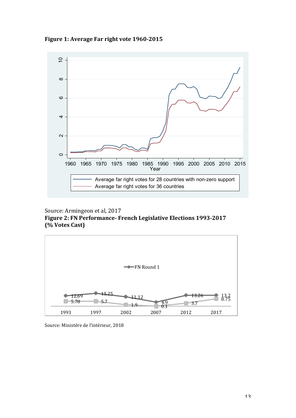Figure 1: Average Far right vote 1960-2015



Source: Armingeon et al, 2017 Figure 2: FN Performance- French Legislative Elections 1993-2017 **(% Votes Cast)**



Source: Ministère de l'intérieur, 2018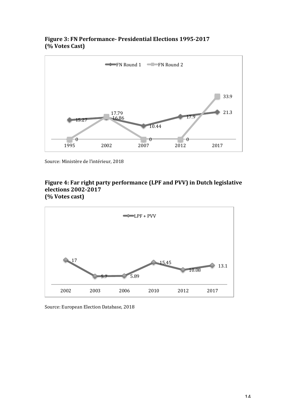#### Figure 3: FN Performance- Presidential Elections 1995-2017 **(% Votes Cast)**



Source: Ministère de l'intérieur, 2018

#### Figure 4: Far right party performance (LPF and PVV) in Dutch legislative **elections 2002-2017 (% Votes cast)**



Source: European Election Database, 2018